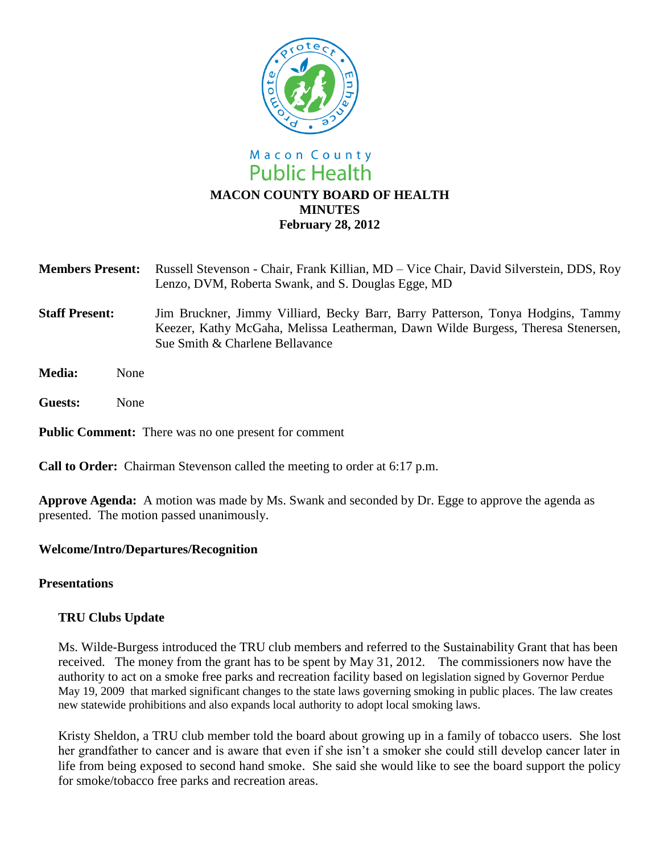

# **MACON COUNTY BOARD OF HEALTH MINUTES February 28, 2012**

| Members Present: Russell Stevenson - Chair, Frank Killian, MD - Vice Chair, David Silverstein, DDS, Roy |
|---------------------------------------------------------------------------------------------------------|
| Lenzo, DVM, Roberta Swank, and S. Douglas Egge, MD                                                      |

- **Staff Present:** Jim Bruckner, Jimmy Villiard, Becky Barr, Barry Patterson, Tonya Hodgins, Tammy Keezer, Kathy McGaha, Melissa Leatherman, Dawn Wilde Burgess, Theresa Stenersen, Sue Smith & Charlene Bellavance
- **Media:** None
- **Guests:** None

**Public Comment:** There was no one present for comment

**Call to Order:** Chairman Stevenson called the meeting to order at 6:17 p.m.

**Approve Agenda:** A motion was made by Ms. Swank and seconded by Dr. Egge to approve the agenda as presented. The motion passed unanimously.

### **Welcome/Intro/Departures/Recognition**

### **Presentations**

## **TRU Clubs Update**

Ms. Wilde-Burgess introduced the TRU club members and referred to the Sustainability Grant that has been received. The money from the grant has to be spent by May 31, 2012. The commissioners now have the authority to act on a smoke free parks and recreation facility based on legislation signed by Governor Perdue May 19, 2009 that marked significant changes to the state laws governing smoking in public places. The law creates new statewide prohibitions and also expands local authority to adopt local smoking laws.

Kristy Sheldon, a TRU club member told the board about growing up in a family of tobacco users. She lost her grandfather to cancer and is aware that even if she isn't a smoker she could still develop cancer later in life from being exposed to second hand smoke. She said she would like to see the board support the policy for smoke/tobacco free parks and recreation areas.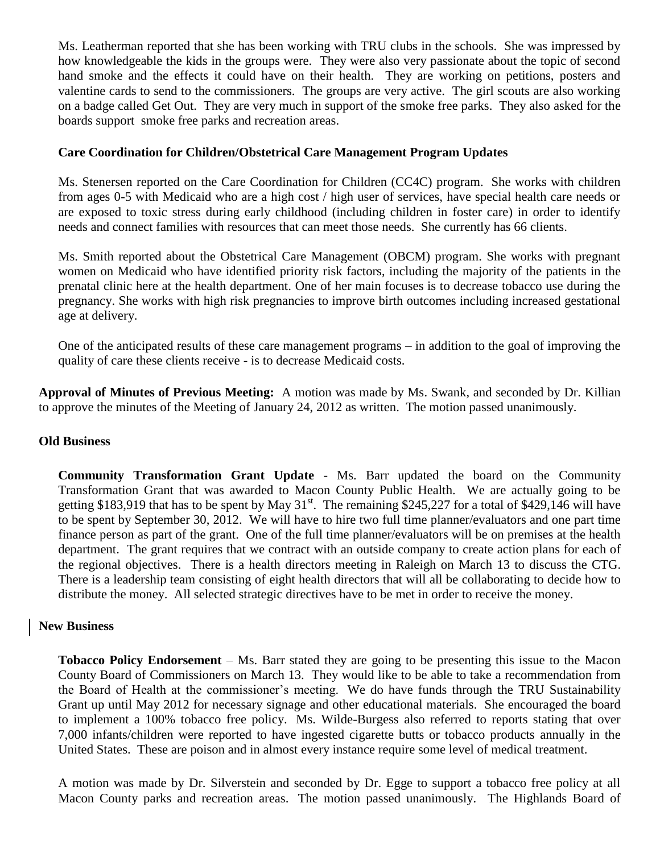Ms. Leatherman reported that she has been working with TRU clubs in the schools. She was impressed by how knowledgeable the kids in the groups were. They were also very passionate about the topic of second hand smoke and the effects it could have on their health. They are working on petitions, posters and valentine cards to send to the commissioners. The groups are very active. The girl scouts are also working on a badge called Get Out. They are very much in support of the smoke free parks. They also asked for the boards support smoke free parks and recreation areas.

### **Care Coordination for Children/Obstetrical Care Management Program Updates**

Ms. Stenersen reported on the Care Coordination for Children (CC4C) program. She works with children from ages 0-5 with Medicaid who are a high cost / high user of services, have special health care needs or are exposed to toxic stress during early childhood (including children in foster care) in order to identify needs and connect families with resources that can meet those needs. She currently has 66 clients.

Ms. Smith reported about the Obstetrical Care Management (OBCM) program. She works with pregnant women on Medicaid who have identified priority risk factors, including the majority of the patients in the prenatal clinic here at the health department. One of her main focuses is to decrease tobacco use during the pregnancy. She works with high risk pregnancies to improve birth outcomes including increased gestational age at delivery.

One of the anticipated results of these care management programs – in addition to the goal of improving the quality of care these clients receive - is to decrease Medicaid costs.

**Approval of Minutes of Previous Meeting:** A motion was made by Ms. Swank, and seconded by Dr. Killian to approve the minutes of the Meeting of January 24, 2012 as written. The motion passed unanimously.

### **Old Business**

**Community Transformation Grant Update** - Ms. Barr updated the board on the Community Transformation Grant that was awarded to Macon County Public Health. We are actually going to be getting \$183,919 that has to be spent by May  $31^{st}$ . The remaining \$245,227 for a total of \$429,146 will have to be spent by September 30, 2012. We will have to hire two full time planner/evaluators and one part time finance person as part of the grant. One of the full time planner/evaluators will be on premises at the health department. The grant requires that we contract with an outside company to create action plans for each of the regional objectives. There is a health directors meeting in Raleigh on March 13 to discuss the CTG. There is a leadership team consisting of eight health directors that will all be collaborating to decide how to distribute the money. All selected strategic directives have to be met in order to receive the money.

### **New Business**

**Tobacco Policy Endorsement** – Ms. Barr stated they are going to be presenting this issue to the Macon County Board of Commissioners on March 13. They would like to be able to take a recommendation from the Board of Health at the commissioner's meeting. We do have funds through the TRU Sustainability Grant up until May 2012 for necessary signage and other educational materials. She encouraged the board to implement a 100% tobacco free policy. Ms. Wilde-Burgess also referred to reports stating that over 7,000 infants/children were reported to have ingested cigarette butts or tobacco products annually in the United States. These are poison and in almost every instance require some level of medical treatment.

A motion was made by Dr. Silverstein and seconded by Dr. Egge to support a tobacco free policy at all Macon County parks and recreation areas. The motion passed unanimously. The Highlands Board of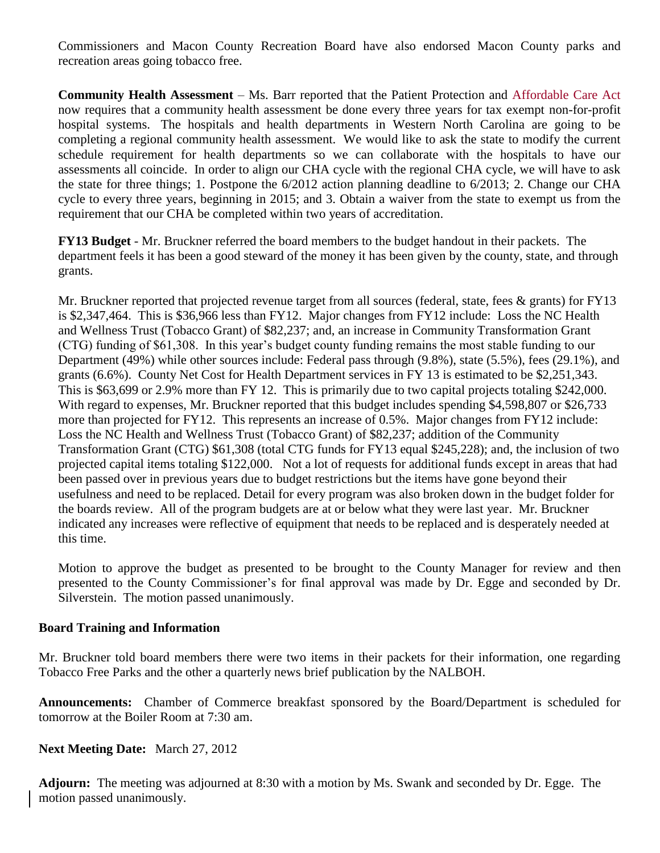Commissioners and Macon County Recreation Board have also endorsed Macon County parks and recreation areas going tobacco free.

**Community Health Assessment** – Ms. Barr reported that the Patient Protection and Affordable Care Act now requires that a community health assessment be done every three years for tax exempt non-for-profit hospital systems. The hospitals and health departments in Western North Carolina are going to be completing a regional community health assessment. We would like to ask the state to modify the current schedule requirement for health departments so we can collaborate with the hospitals to have our assessments all coincide. In order to align our CHA cycle with the regional CHA cycle, we will have to ask the state for three things; 1. Postpone the 6/2012 action planning deadline to 6/2013; 2. Change our CHA cycle to every three years, beginning in 2015; and 3. Obtain a waiver from the state to exempt us from the requirement that our CHA be completed within two years of accreditation.

**FY13 Budget** - Mr. Bruckner referred the board members to the budget handout in their packets. The department feels it has been a good steward of the money it has been given by the county, state, and through grants.

Mr. Bruckner reported that projected revenue target from all sources (federal, state, fees & grants) for FY13 is \$2,347,464. This is \$36,966 less than FY12. Major changes from FY12 include: Loss the NC Health and Wellness Trust (Tobacco Grant) of \$82,237; and, an increase in Community Transformation Grant (CTG) funding of \$61,308. In this year's budget county funding remains the most stable funding to our Department (49%) while other sources include: Federal pass through (9.8%), state (5.5%), fees (29.1%), and grants (6.6%). County Net Cost for Health Department services in FY 13 is estimated to be \$2,251,343. This is \$63,699 or 2.9% more than FY 12. This is primarily due to two capital projects totaling \$242,000. With regard to expenses, Mr. Bruckner reported that this budget includes spending \$4,598,807 or \$26,733 more than projected for FY12. This represents an increase of 0.5%. Major changes from FY12 include: Loss the NC Health and Wellness Trust (Tobacco Grant) of \$82,237; addition of the Community Transformation Grant (CTG) \$61,308 (total CTG funds for FY13 equal \$245,228); and, the inclusion of two projected capital items totaling \$122,000. Not a lot of requests for additional funds except in areas that had been passed over in previous years due to budget restrictions but the items have gone beyond their usefulness and need to be replaced. Detail for every program was also broken down in the budget folder for the boards review. All of the program budgets are at or below what they were last year. Mr. Bruckner indicated any increases were reflective of equipment that needs to be replaced and is desperately needed at this time.

Motion to approve the budget as presented to be brought to the County Manager for review and then presented to the County Commissioner's for final approval was made by Dr. Egge and seconded by Dr. Silverstein. The motion passed unanimously.

### **Board Training and Information**

Mr. Bruckner told board members there were two items in their packets for their information, one regarding Tobacco Free Parks and the other a quarterly news brief publication by the NALBOH.

**Announcements:** Chamber of Commerce breakfast sponsored by the Board/Department is scheduled for tomorrow at the Boiler Room at 7:30 am.

### **Next Meeting Date:** March 27, 2012

**Adjourn:** The meeting was adjourned at 8:30 with a motion by Ms. Swank and seconded by Dr. Egge. The motion passed unanimously.